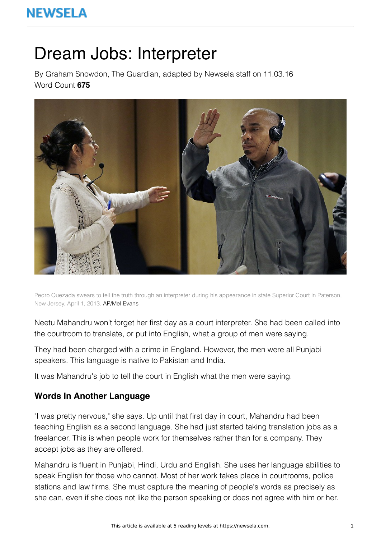# **NEWSELA**

# Dream Jobs: Interpreter

By Graham Snowdon, The Guardian, adapted by Newsela staff on 11.03.16 Word Count **675**



Pedro Quezada swears to tell the truth through an interpreter during his appearance in state Superior Court in Paterson, New Jersey, April 1, 2013. AP/Mel Evans

Neetu Mahandru won't forget her first day as a court interpreter. She had been called into the courtroom to translate, or put into English, what a group of men were saying.

They had been charged with a crime in England. However, the men were all Punjabi speakers. This language is native to Pakistan and India.

It was Mahandru's job to tell the court in English what the men were saying.

### **Words In Another Language**

"I was pretty nervous," she says. Up until that first day in court, Mahandru had been teaching English as a second language. She had just started taking translation jobs as a freelancer. This is when people work for themselves rather than for a company. They accept jobs as they are offered.

Mahandru is fluent in Punjabi, Hindi, Urdu and English. She uses her language abilities to speak English for those who cannot. Most of her work takes place in courtrooms, police stations and law firms. She must capture the meaning of people's words as precisely as she can, even if she does not like the person speaking or does not agree with him or her.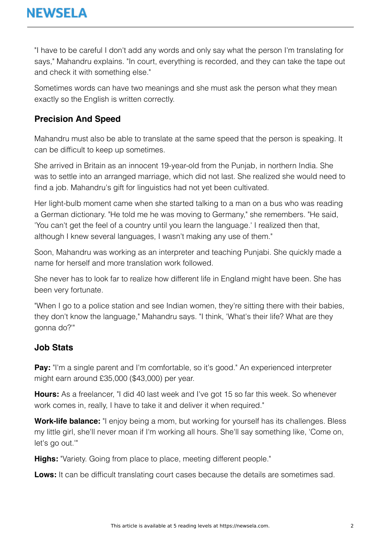"I have to be careful I don't add any words and only say what the person I'm translating for says," Mahandru explains. "In court, everything is recorded, and they can take the tape out and check it with something else."

Sometimes words can have two meanings and she must ask the person what they mean exactly so the English is written correctly.

## **Precision And Speed**

Mahandru must also be able to translate at the same speed that the person is speaking. It can be difficult to keep up sometimes.

She arrived in Britain as an innocent 19-year-old from the Punjab, in northern India. She was to settle into an arranged marriage, which did not last. She realized she would need to find a job. Mahandru's gift for linguistics had not yet been cultivated.

Her light-bulb moment came when she started talking to a man on a bus who was reading a German dictionary. "He told me he was moving to Germany," she remembers. "He said, 'You can't get the feel of a country until you learn the language.' I realized then that, although I knew several languages, I wasn't making any use of them."

Soon, Mahandru was working as an interpreter and teaching Punjabi. She quickly made a name for herself and more translation work followed.

She never has to look far to realize how different life in England might have been. She has been very fortunate.

"When I go to a police station and see Indian women, they're sitting there with their babies, they don't know the language," Mahandru says. "I think, 'What's their life? What are they gonna do?'"

## **Job Stats**

**Pay:** "I'm a single parent and I'm comfortable, so it's good." An experienced interpreter might earn around £35,000 (\$43,000) per year.

**Hours:** As a freelancer, "I did 40 last week and I've got 15 so far this week. So whenever work comes in, really, I have to take it and deliver it when required."

**Work-life balance:** "I enjoy being a mom, but working for yourself has its challenges. Bless my little girl, she'll never moan if I'm working all hours. She'll say something like, 'Come on, let's go out.'"

**Highs:** "Variety. Going from place to place, meeting different people."

**Lows:** It can be difficult translating court cases because the details are sometimes sad.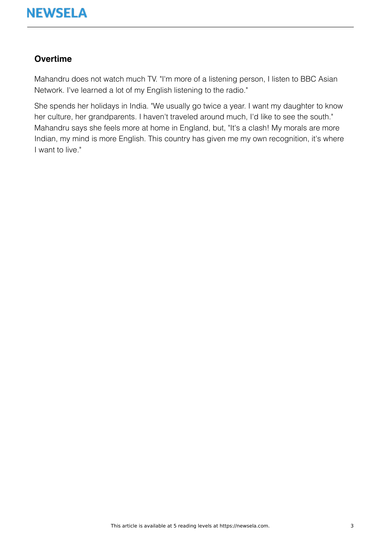

#### **Overtime**

Mahandru does not watch much TV. "I'm more of a listening person, I listen to BBC Asian Network. I've learned a lot of my English listening to the radio."

She spends her holidays in India. "We usually go twice a year. I want my daughter to know her culture, her grandparents. I haven't traveled around much, I'd like to see the south." Mahandru says she feels more at home in England, but, "It's a clash! My morals are more Indian, my mind is more English. This country has given me my own recognition, it's where I want to live."